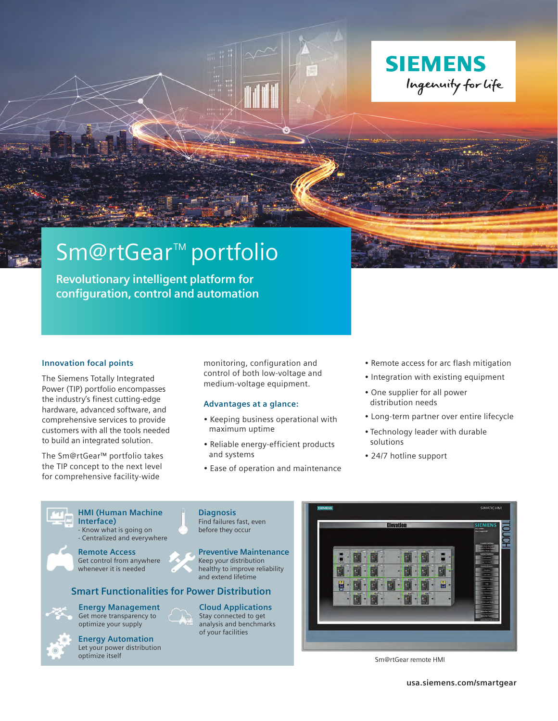

# Sm@rtGear<sup>™</sup> portfolio

**Revolutionary intelligent platform for configuration, control and automation**



## **Innovation focal points**

The Siemens Totally Integrated Power (TIP) portfolio encompasses the industry's finest cutting-edge hardware, advanced software, and comprehensive services to provide customers with all the tools needed to build an integrated solution.

The Sm@rtGear™ portfolio takes the TIP concept to the next level for comprehensive facility-wide

monitoring, configuration and control of both low-voltage and medium-voltage equipment.

### **Advantages at a glance:**

- Keeping business operational with maximum uptime
- Reliable energy-efficient products and systems
- Ease of operation and maintenance
- Remote access for arc flash mitigation
- Integration with existing equipment
- One supplier for all power distribution needs
- Long-term partner over entire lifecycle
- Technology leader with durable solutions
- 24/7 hotline support

| <b>HMI (Human Machine)</b><br>Interface) |
|------------------------------------------|
| - Know what is going on                  |

**Interface)** Know what is going on Centralized and everywhere



**Remote Access** Get control from anywhere whenever it is needed

# **Smart Functionalities for Power Distribution**

**Energy Automation** Let your power distribution optimize your supply

**Energy Management** Get more transparency to

optimize itself

before they occur **Preventive Maintenance**

**Diagnosis** Find failures fast, even

Keep your distribution healthy to improve reliability and extend lifetime

**Cloud Applications** Stay connected to get analysis and benchmarks of your facilities



Sm@rtGear remote HMI